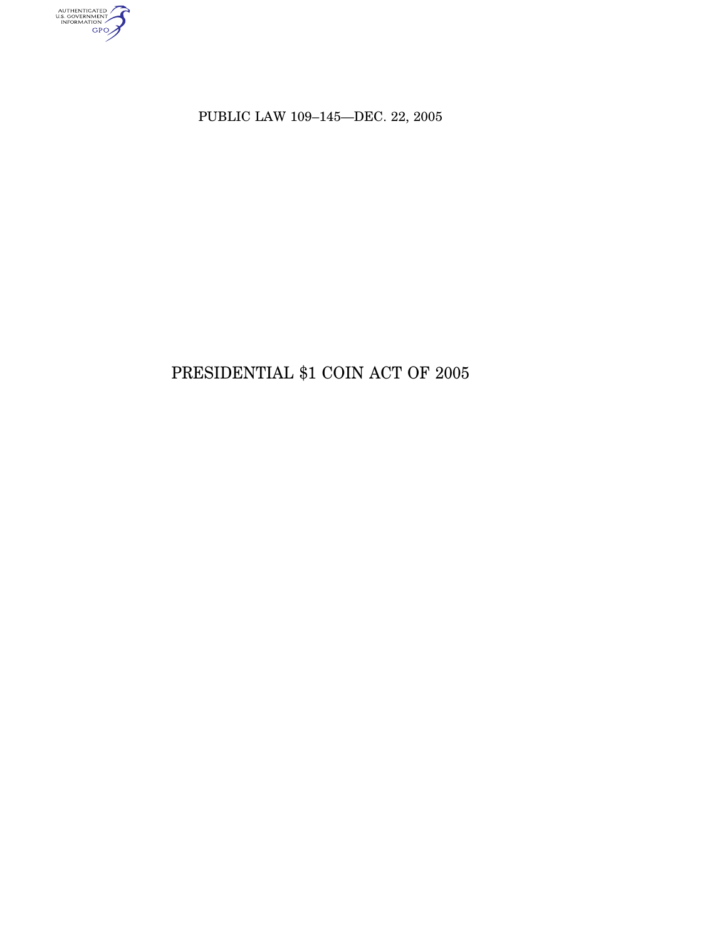AUTHENTICATED

PUBLIC LAW 109–145—DEC. 22, 2005

# PRESIDENTIAL \$1 COIN ACT OF 2005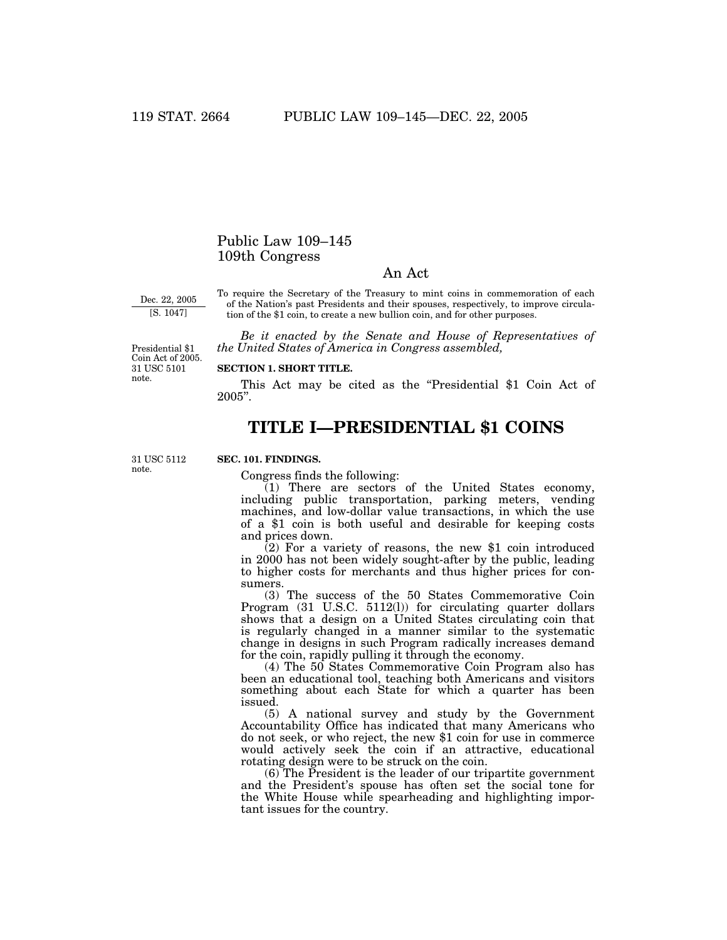# Public Law 109–145 109th Congress

# An Act

Dec. 22, 2005 [S. 1047]

To require the Secretary of the Treasury to mint coins in commemoration of each of the Nation's past Presidents and their spouses, respectively, to improve circulation of the \$1 coin, to create a new bullion coin, and for other purposes.

*Be it enacted by the Senate and House of Representatives of the United States of America in Congress assembled,*

31 USC 5101 note. Presidential \$1 Coin Act of 2005.

### **SECTION 1. SHORT TITLE.**

This Act may be cited as the "Presidential \$1 Coin Act of 2005''.

# **TITLE I—PRESIDENTIAL \$1 COINS**

31 USC 5112 note.

# **SEC. 101. FINDINGS.**

Congress finds the following:

 $(1)$  There are sectors of the United States economy, including public transportation, parking meters, vending machines, and low-dollar value transactions, in which the use of a \$1 coin is both useful and desirable for keeping costs and prices down.

(2) For a variety of reasons, the new \$1 coin introduced in 2000 has not been widely sought-after by the public, leading to higher costs for merchants and thus higher prices for consumers.

(3) The success of the 50 States Commemorative Coin Program (31 U.S.C. 5112(l)) for circulating quarter dollars shows that a design on a United States circulating coin that is regularly changed in a manner similar to the systematic change in designs in such Program radically increases demand for the coin, rapidly pulling it through the economy.

(4) The 50 States Commemorative Coin Program also has been an educational tool, teaching both Americans and visitors something about each State for which a quarter has been issued.

(5) A national survey and study by the Government Accountability Office has indicated that many Americans who do not seek, or who reject, the new \$1 coin for use in commerce would actively seek the coin if an attractive, educational rotating design were to be struck on the coin.

(6) The President is the leader of our tripartite government and the President's spouse has often set the social tone for the White House while spearheading and highlighting important issues for the country.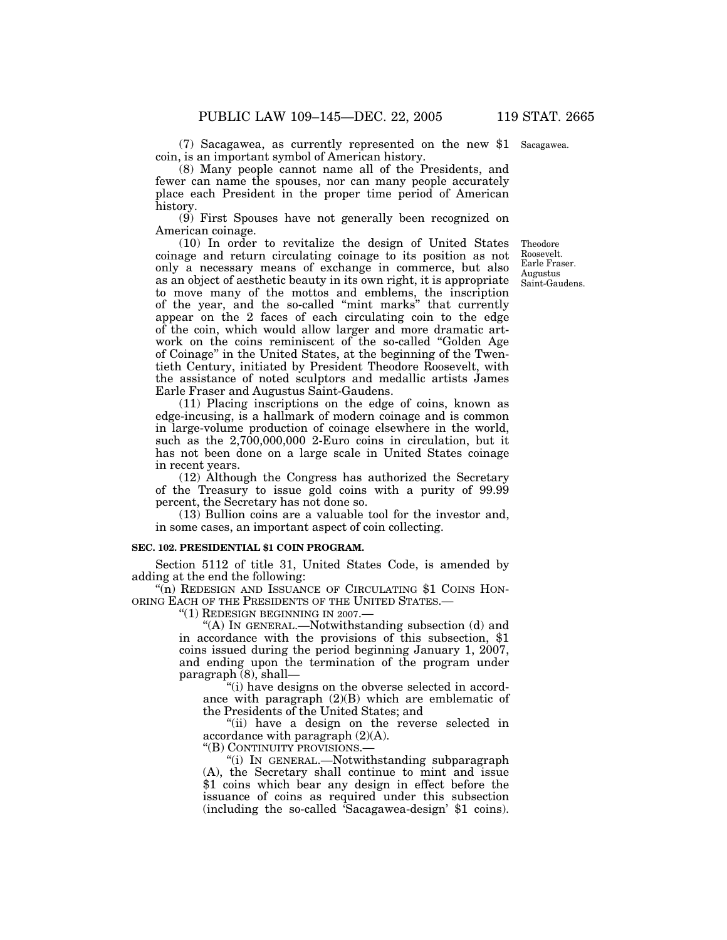(7) Sacagawea, as currently represented on the new \$1 Sacagawea. coin, is an important symbol of American history.

(8) Many people cannot name all of the Presidents, and fewer can name the spouses, nor can many people accurately place each President in the proper time period of American history.

(9) First Spouses have not generally been recognized on American coinage.

(10) In order to revitalize the design of United States coinage and return circulating coinage to its position as not only a necessary means of exchange in commerce, but also as an object of aesthetic beauty in its own right, it is appropriate to move many of the mottos and emblems, the inscription of the year, and the so-called ''mint marks'' that currently appear on the 2 faces of each circulating coin to the edge of the coin, which would allow larger and more dramatic artwork on the coins reminiscent of the so-called ''Golden Age of Coinage'' in the United States, at the beginning of the Twentieth Century, initiated by President Theodore Roosevelt, with the assistance of noted sculptors and medallic artists James Earle Fraser and Augustus Saint-Gaudens.

(11) Placing inscriptions on the edge of coins, known as edge-incusing, is a hallmark of modern coinage and is common in large-volume production of coinage elsewhere in the world, such as the  $2,700,000,000$  2-Euro coins in circulation, but it has not been done on a large scale in United States coinage in recent years.

(12) Although the Congress has authorized the Secretary of the Treasury to issue gold coins with a purity of 99.99 percent, the Secretary has not done so.

(13) Bullion coins are a valuable tool for the investor and, in some cases, an important aspect of coin collecting.

# **SEC. 102. PRESIDENTIAL \$1 COIN PROGRAM.**

Section 5112 of title 31, United States Code, is amended by adding at the end the following:

"(n) REDESIGN AND ISSUANCE OF CIRCULATING \$1 COINS HON-ORING EACH OF THE PRESIDENTS OF THE UNITED STATES.—

''(1) REDESIGN BEGINNING IN 2007.—

''(A) IN GENERAL.—Notwithstanding subsection (d) and in accordance with the provisions of this subsection, \$1 coins issued during the period beginning January 1, 2007, and ending upon the termination of the program under paragraph (8), shall—

''(i) have designs on the obverse selected in accordance with paragraph (2)(B) which are emblematic of the Presidents of the United States; and

''(ii) have a design on the reverse selected in accordance with paragraph (2)(A).

''(B) CONTINUITY PROVISIONS.—

''(i) IN GENERAL.—Notwithstanding subparagraph (A), the Secretary shall continue to mint and issue \$1 coins which bear any design in effect before the issuance of coins as required under this subsection (including the so-called 'Sacagawea-design' \$1 coins).

Theodore Roosevelt. Earle Fraser. Augustus Saint-Gaudens.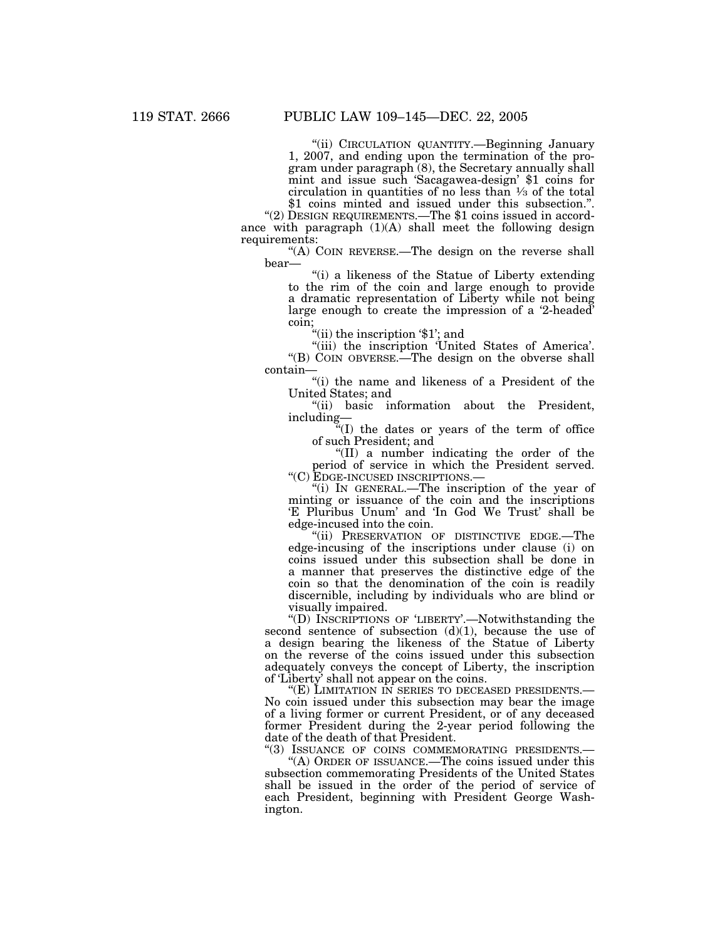''(ii) CIRCULATION QUANTITY.—Beginning January 1, 2007, and ending upon the termination of the program under paragraph (8), the Secretary annually shall mint and issue such 'Sacagawea-design' \$1 coins for circulation in quantities of no less than  $\frac{1}{3}$  of the total \$1 coins minted and issued under this subsection.''.

"(2) DESIGN REQUIREMENTS.—The \$1 coins issued in accordance with paragraph  $(1)(A)$  shall meet the following design requirements:

"(A) COIN REVERSE.—The design on the reverse shall bear—

''(i) a likeness of the Statue of Liberty extending to the rim of the coin and large enough to provide a dramatic representation of Liberty while not being large enough to create the impression of a '2-headed' coin;

''(ii) the inscription '\$1'; and

''(iii) the inscription 'United States of America'.

"(B) COIN OBVERSE.—The design on the obverse shall contain—

"(i) the name and likeness of a President of the United States; and

''(ii) basic information about the President, including—

 $\sqrt[2^n]{(I)}$  the dates or years of the term of office of such President; and

''(II) a number indicating the order of the period of service in which the President served. ''(C) EDGE-INCUSED INSCRIPTIONS.—

''(i) IN GENERAL.—The inscription of the year of minting or issuance of the coin and the inscriptions 'E Pluribus Unum' and 'In God We Trust' shall be edge-incused into the coin.

"(ii) PRESERVATION OF DISTINCTIVE EDGE.-The edge-incusing of the inscriptions under clause (i) on coins issued under this subsection shall be done in a manner that preserves the distinctive edge of the coin so that the denomination of the coin is readily discernible, including by individuals who are blind or visually impaired.

''(D) INSCRIPTIONS OF 'LIBERTY'.—Notwithstanding the second sentence of subsection  $(d)(1)$ , because the use of a design bearing the likeness of the Statue of Liberty on the reverse of the coins issued under this subsection adequately conveys the concept of Liberty, the inscription of 'Liberty' shall not appear on the coins.

"(E) LIMITATION IN SERIES TO DECEASED PRESIDENTS.— No coin issued under this subsection may bear the image of a living former or current President, or of any deceased former President during the 2-year period following the date of the death of that President.

"(3) ISSUANCE OF COINS COMMEMORATING PRESIDENTS.-

''(A) ORDER OF ISSUANCE.—The coins issued under this subsection commemorating Presidents of the United States shall be issued in the order of the period of service of each President, beginning with President George Washington.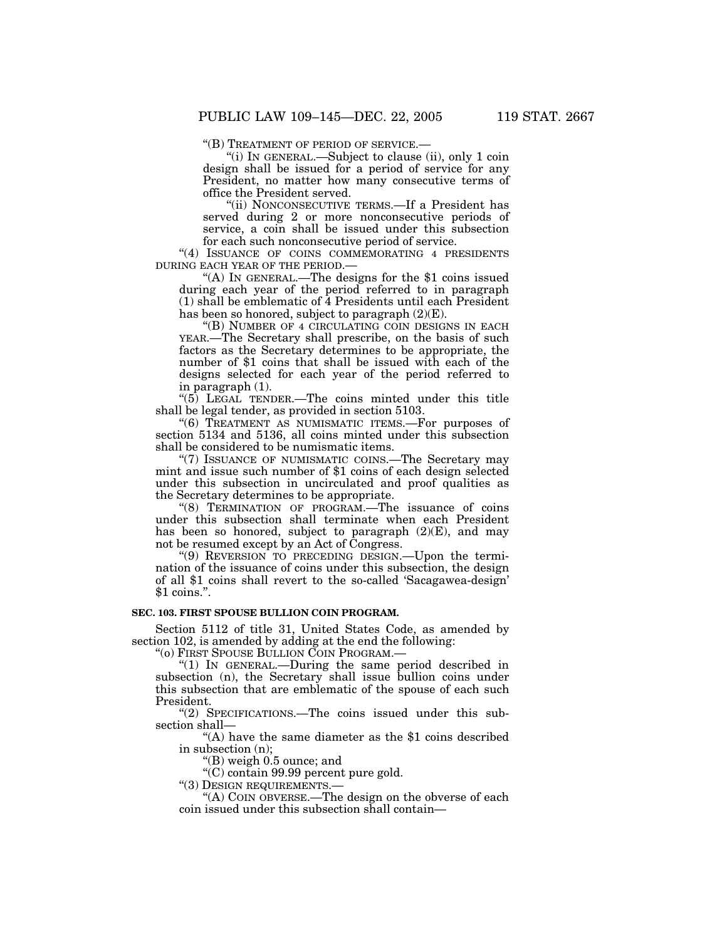''(B) TREATMENT OF PERIOD OF SERVICE.—

''(i) IN GENERAL.—Subject to clause (ii), only 1 coin design shall be issued for a period of service for any President, no matter how many consecutive terms of office the President served.

''(ii) NONCONSECUTIVE TERMS.—If a President has served during 2 or more nonconsecutive periods of service, a coin shall be issued under this subsection for each such nonconsecutive period of service.

"(4) ISSUANCE OF COINS COMMEMORATING 4 PRESIDENTS DURING EACH YEAR OF THE PERIOD.—

''(A) IN GENERAL.—The designs for the \$1 coins issued during each year of the period referred to in paragraph (1) shall be emblematic of 4 Presidents until each President has been so honored, subject to paragraph (2)(E).

''(B) NUMBER OF 4 CIRCULATING COIN DESIGNS IN EACH YEAR.—The Secretary shall prescribe, on the basis of such factors as the Secretary determines to be appropriate, the number of \$1 coins that shall be issued with each of the designs selected for each year of the period referred to in paragraph (1).

" $(5)$  LEGAL TENDER.—The coins minted under this title shall be legal tender, as provided in section 5103.

''(6) TREATMENT AS NUMISMATIC ITEMS.—For purposes of section 5134 and 5136, all coins minted under this subsection shall be considered to be numismatic items.

"(7) ISSUANCE OF NUMISMATIC COINS.—The Secretary may mint and issue such number of \$1 coins of each design selected under this subsection in uncirculated and proof qualities as the Secretary determines to be appropriate.

''(8) TERMINATION OF PROGRAM.—The issuance of coins under this subsection shall terminate when each President has been so honored, subject to paragraph (2)(E), and may not be resumed except by an Act of Congress.

''(9) REVERSION TO PRECEDING DESIGN.—Upon the termination of the issuance of coins under this subsection, the design of all \$1 coins shall revert to the so-called 'Sacagawea-design' \$1 coins.''.

#### **SEC. 103. FIRST SPOUSE BULLION COIN PROGRAM.**

Section 5112 of title 31, United States Code, as amended by section 102, is amended by adding at the end the following:

''(o) FIRST SPOUSE BULLION COIN PROGRAM.—

''(1) IN GENERAL.—During the same period described in subsection (n), the Secretary shall issue bullion coins under this subsection that are emblematic of the spouse of each such President.

"(2) SPECIFICATIONS.—The coins issued under this subsection shall—

"(A) have the same diameter as the \$1 coins described in subsection (n);

''(B) weigh 0.5 ounce; and

''(C) contain 99.99 percent pure gold.

''(3) DESIGN REQUIREMENTS.—

''(A) COIN OBVERSE.—The design on the obverse of each coin issued under this subsection shall contain—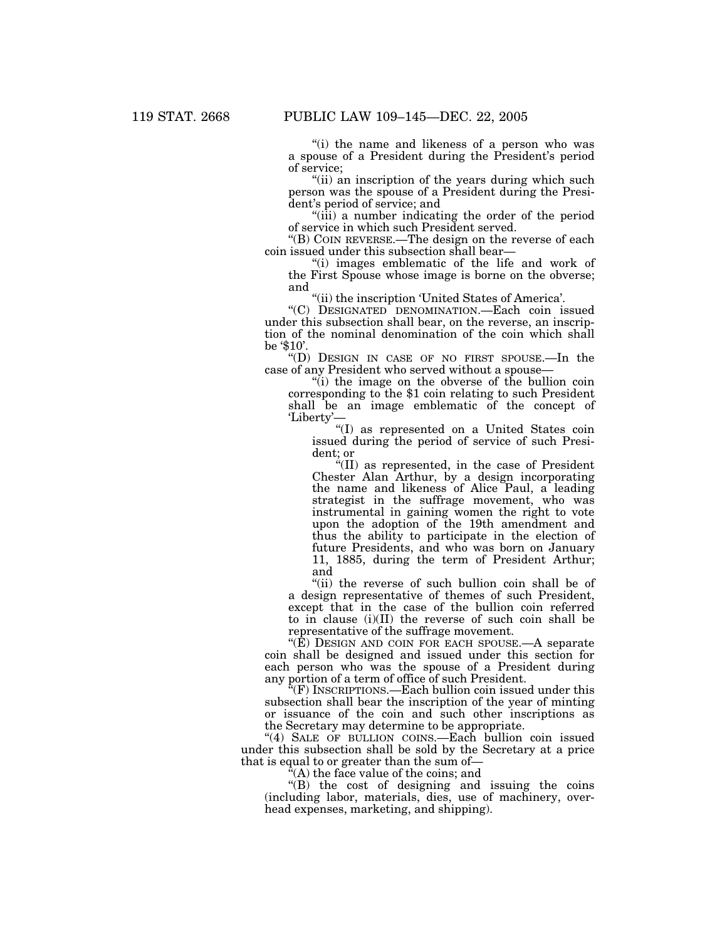''(i) the name and likeness of a person who was a spouse of a President during the President's period of service;

"(ii) an inscription of the years during which such person was the spouse of a President during the President's period of service; and

''(iii) a number indicating the order of the period of service in which such President served.

''(B) COIN REVERSE.—The design on the reverse of each coin issued under this subsection shall bear—

''(i) images emblematic of the life and work of the First Spouse whose image is borne on the obverse; and

''(ii) the inscription 'United States of America'.

''(C) DESIGNATED DENOMINATION.—Each coin issued under this subsection shall bear, on the reverse, an inscription of the nominal denomination of the coin which shall be '\$10'.

''(D) DESIGN IN CASE OF NO FIRST SPOUSE.—In the case of any President who served without a spouse—

 $\dddot{\mathbf{c}}$  (i) the image on the obverse of the bullion coin corresponding to the \$1 coin relating to such President shall be an image emblematic of the concept of 'Liberty'

''(I) as represented on a United States coin issued during the period of service of such President; or

''(II) as represented, in the case of President Chester Alan Arthur, by a design incorporating the name and likeness of Alice Paul, a leading strategist in the suffrage movement, who was instrumental in gaining women the right to vote upon the adoption of the 19th amendment and thus the ability to participate in the election of future Presidents, and who was born on January 11, 1885, during the term of President Arthur; and

"(ii) the reverse of such bullion coin shall be of a design representative of themes of such President, except that in the case of the bullion coin referred to in clause (i)(II) the reverse of such coin shall be representative of the suffrage movement.

" $(E)$  DESIGN AND COIN FOR EACH SPOUSE.—A separate coin shall be designed and issued under this section for each person who was the spouse of a President during any portion of a term of office of such President.

''(F) INSCRIPTIONS.—Each bullion coin issued under this subsection shall bear the inscription of the year of minting or issuance of the coin and such other inscriptions as the Secretary may determine to be appropriate.

''(4) SALE OF BULLION COINS.—Each bullion coin issued under this subsection shall be sold by the Secretary at a price that is equal to or greater than the sum of—

''(A) the face value of the coins; and

''(B) the cost of designing and issuing the coins (including labor, materials, dies, use of machinery, overhead expenses, marketing, and shipping).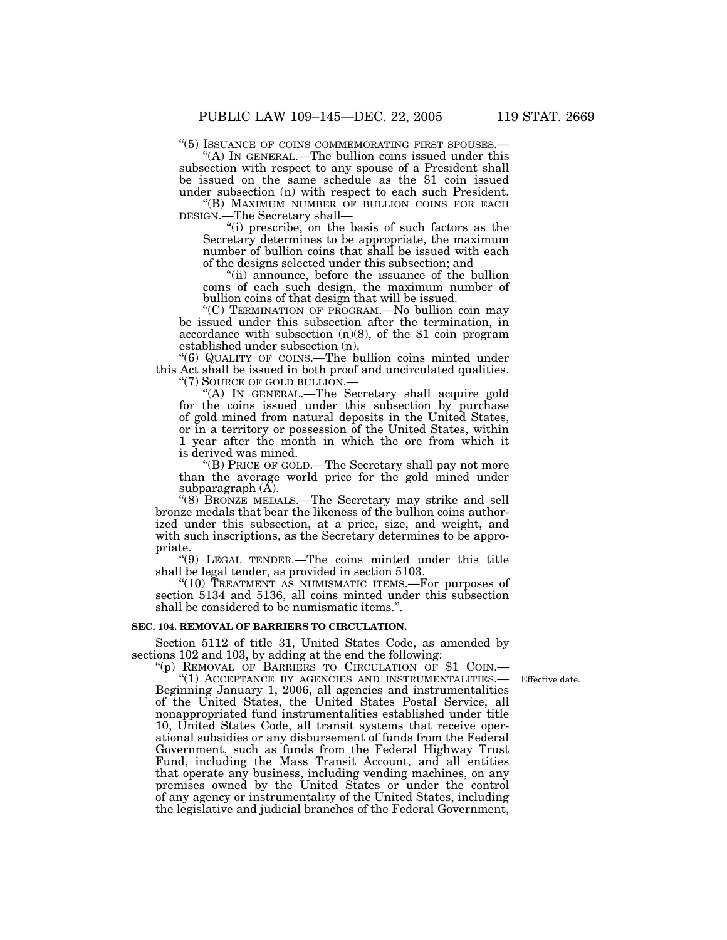''(5) ISSUANCE OF COINS COMMEMORATING FIRST SPOUSES.— ''(A) IN GENERAL.—The bullion coins issued under this

subsection with respect to any spouse of a President shall be issued on the same schedule as the \$1 coin issued under subsection (n) with respect to each such President.

''(B) MAXIMUM NUMBER OF BULLION COINS FOR EACH DESIGN.—The Secretary shall—

''(i) prescribe, on the basis of such factors as the Secretary determines to be appropriate, the maximum number of bullion coins that shall be issued with each of the designs selected under this subsection; and

''(ii) announce, before the issuance of the bullion coins of each such design, the maximum number of bullion coins of that design that will be issued.

''(C) TERMINATION OF PROGRAM.—No bullion coin may be issued under this subsection after the termination, in accordance with subsection  $(n)(8)$ , of the \$1 coin program established under subsection (n).

"(6) QUALITY OF COINS.—The bullion coins minted under this Act shall be issued in both proof and uncirculated qualities. ''(7) SOURCE OF GOLD BULLION.—

''(A) IN GENERAL.—The Secretary shall acquire gold for the coins issued under this subsection by purchase of gold mined from natural deposits in the United States, or in a territory or possession of the United States, within 1 year after the month in which the ore from which it is derived was mined.

''(B) PRICE OF GOLD.—The Secretary shall pay not more than the average world price for the gold mined under subparagraph (A).

"(8) BRONZE MEDALS.—The Secretary may strike and sell bronze medals that bear the likeness of the bullion coins authorized under this subsection, at a price, size, and weight, and with such inscriptions, as the Secretary determines to be appropriate.

''(9) LEGAL TENDER.—The coins minted under this title shall be legal tender, as provided in section 5103.

"(10) TREATMENT AS NUMISMATIC ITEMS.—For purposes of section 5134 and 5136, all coins minted under this subsection shall be considered to be numismatic items.''.

# **SEC. 104. REMOVAL OF BARRIERS TO CIRCULATION.**

Section 5112 of title 31, United States Code, as amended by sections 102 and 103, by adding at the end the following:

"(p) REMOVAL OF BARRIERS TO CIRCULATION OF \$1 COIN.—

Effective date.

"(1) ACCEPTANCE BY AGENCIES AND INSTRUMENTALITIES.— Beginning January 1, 2006, all agencies and instrumentalities of the United States, the United States Postal Service, all nonappropriated fund instrumentalities established under title 10, United States Code, all transit systems that receive operational subsidies or any disbursement of funds from the Federal Government, such as funds from the Federal Highway Trust Fund, including the Mass Transit Account, and all entities that operate any business, including vending machines, on any premises owned by the United States or under the control of any agency or instrumentality of the United States, including the legislative and judicial branches of the Federal Government,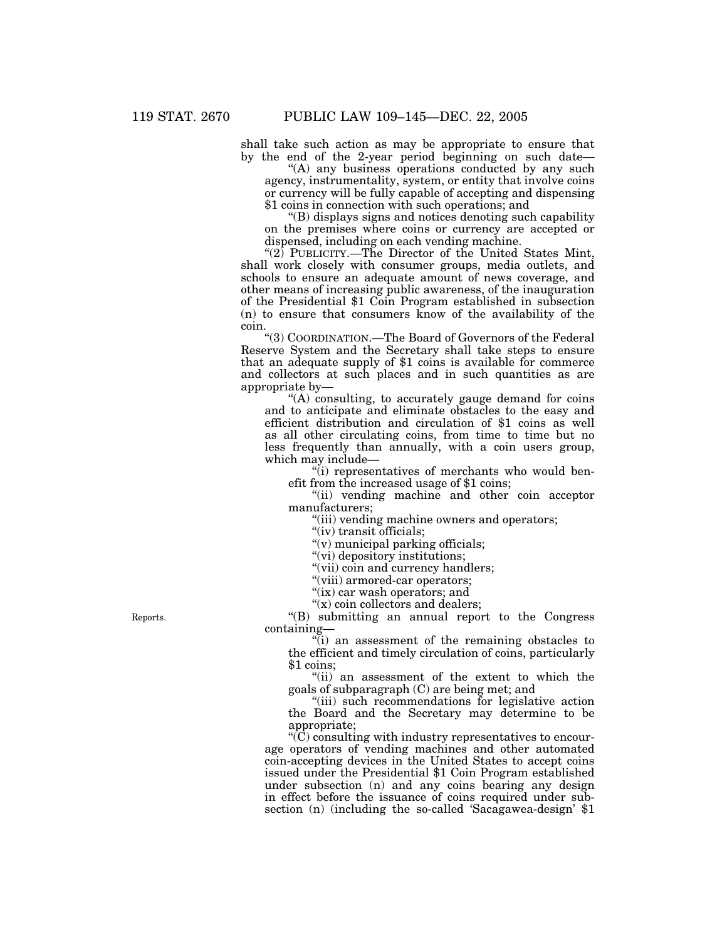shall take such action as may be appropriate to ensure that by the end of the 2-year period beginning on such date—

"(A) any business operations conducted by any such agency, instrumentality, system, or entity that involve coins or currency will be fully capable of accepting and dispensing \$1 coins in connection with such operations; and

''(B) displays signs and notices denoting such capability on the premises where coins or currency are accepted or dispensed, including on each vending machine.

" $(2)$  PUBLICITY.—The Director of the United States Mint, shall work closely with consumer groups, media outlets, and schools to ensure an adequate amount of news coverage, and other means of increasing public awareness, of the inauguration of the Presidential \$1 Coin Program established in subsection (n) to ensure that consumers know of the availability of the coin.

''(3) COORDINATION.—The Board of Governors of the Federal Reserve System and the Secretary shall take steps to ensure that an adequate supply of \$1 coins is available for commerce and collectors at such places and in such quantities as are appropriate by—

''(A) consulting, to accurately gauge demand for coins and to anticipate and eliminate obstacles to the easy and efficient distribution and circulation of \$1 coins as well as all other circulating coins, from time to time but no less frequently than annually, with a coin users group, which may include—

''(i) representatives of merchants who would benefit from the increased usage of \$1 coins;

"(ii) vending machine and other coin acceptor manufacturers;

''(iii) vending machine owners and operators;

"(iv) transit officials;

"(v) municipal parking officials;

''(vi) depository institutions;

"(vii) coin and currency handlers;

"(viii) armored-car operators;

''(ix) car wash operators; and

"(x) coin collectors and dealers;

''(B) submitting an annual report to the Congress containing—

 $\sqrt[n]{i}$  an assessment of the remaining obstacles to the efficient and timely circulation of coins, particularly \$1 coins;

''(ii) an assessment of the extent to which the goals of subparagraph (C) are being met; and

''(iii) such recommendations for legislative action the Board and the Secretary may determine to be appropriate;

 $\mathcal{C}(\tilde{C})$  consulting with industry representatives to encourage operators of vending machines and other automated coin-accepting devices in the United States to accept coins issued under the Presidential \$1 Coin Program established under subsection (n) and any coins bearing any design in effect before the issuance of coins required under subsection (n) (including the so-called 'Sacagawea-design' \$1

Reports.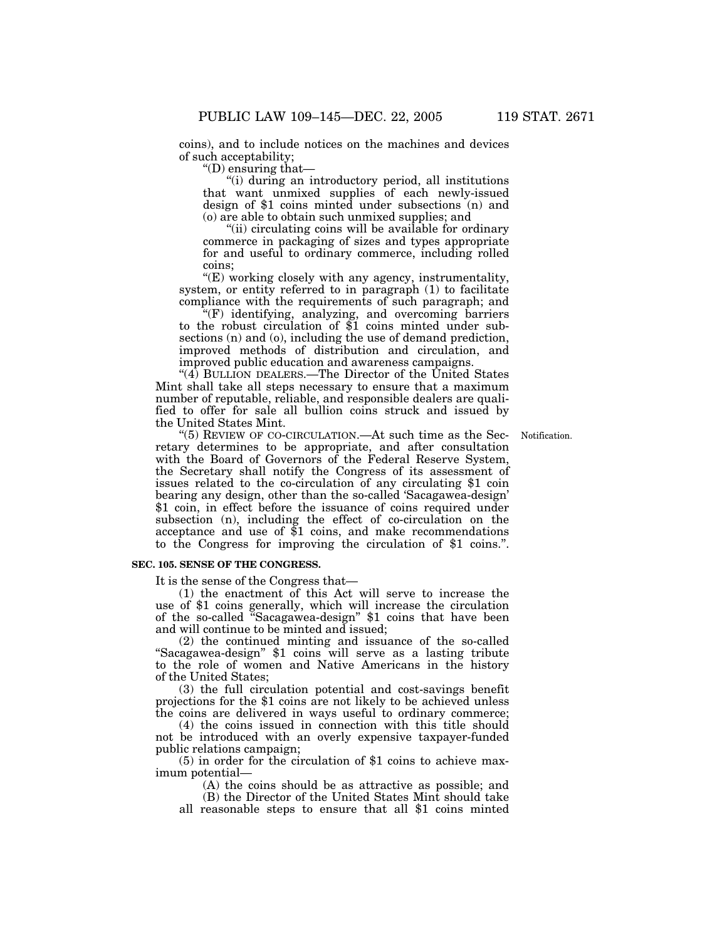coins), and to include notices on the machines and devices of such acceptability;

''(D) ensuring that—

''(i) during an introductory period, all institutions that want unmixed supplies of each newly-issued design of \$1 coins minted under subsections (n) and (o) are able to obtain such unmixed supplies; and

''(ii) circulating coins will be available for ordinary commerce in packaging of sizes and types appropriate for and useful to ordinary commerce, including rolled coins;

 $E$ ) working closely with any agency, instrumentality, system, or entity referred to in paragraph (1) to facilitate compliance with the requirements of such paragraph; and

''(F) identifying, analyzing, and overcoming barriers to the robust circulation of \$1 coins minted under subsections (n) and (o), including the use of demand prediction, improved methods of distribution and circulation, and improved public education and awareness campaigns.

" $(4)$  BULLION DEALERS.—The Director of the United States Mint shall take all steps necessary to ensure that a maximum number of reputable, reliable, and responsible dealers are qualified to offer for sale all bullion coins struck and issued by the United States Mint.

Notification.

''(5) REVIEW OF CO-CIRCULATION.—At such time as the Secretary determines to be appropriate, and after consultation with the Board of Governors of the Federal Reserve System, the Secretary shall notify the Congress of its assessment of issues related to the co-circulation of any circulating \$1 coin bearing any design, other than the so-called 'Sacagawea-design' \$1 coin, in effect before the issuance of coins required under subsection (n), including the effect of co-circulation on the acceptance and use of \$1 coins, and make recommendations to the Congress for improving the circulation of \$1 coins.''.

#### **SEC. 105. SENSE OF THE CONGRESS.**

It is the sense of the Congress that—

(1) the enactment of this Act will serve to increase the use of \$1 coins generally, which will increase the circulation of the so-called ''Sacagawea-design'' \$1 coins that have been and will continue to be minted and issued;

(2) the continued minting and issuance of the so-called "Sacagawea-design" \$1 coins will serve as a lasting tribute to the role of women and Native Americans in the history of the United States;

(3) the full circulation potential and cost-savings benefit projections for the \$1 coins are not likely to be achieved unless the coins are delivered in ways useful to ordinary commerce;

(4) the coins issued in connection with this title should not be introduced with an overly expensive taxpayer-funded public relations campaign;

(5) in order for the circulation of \$1 coins to achieve maximum potential—

(A) the coins should be as attractive as possible; and

(B) the Director of the United States Mint should take all reasonable steps to ensure that all \$1 coins minted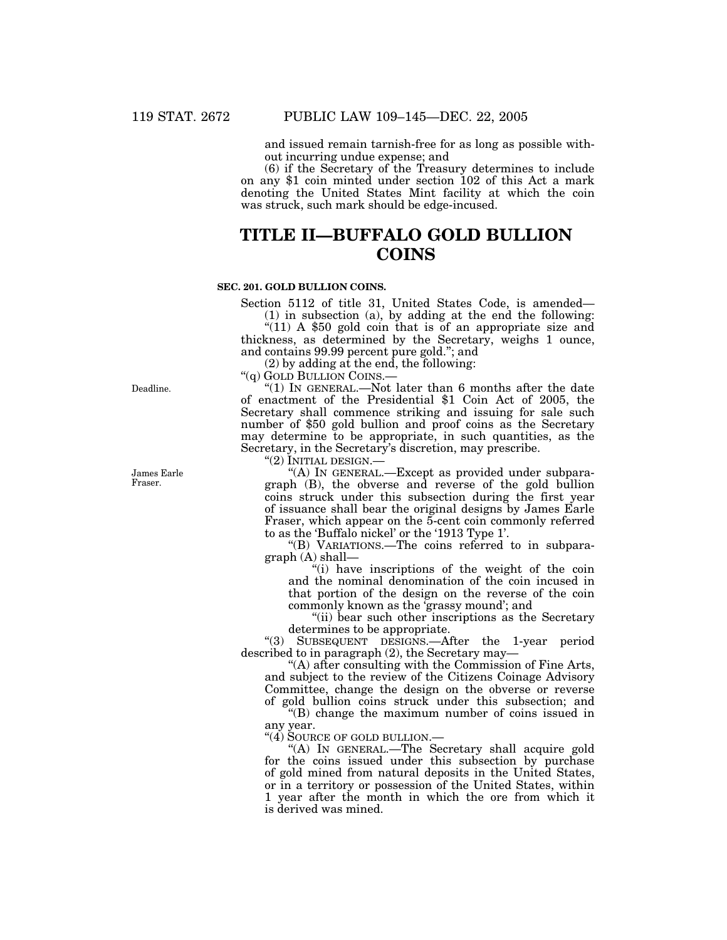and issued remain tarnish-free for as long as possible without incurring undue expense; and

(6) if the Secretary of the Treasury determines to include on any \$1 coin minted under section 102 of this Act a mark denoting the United States Mint facility at which the coin was struck, such mark should be edge-incused.

# **TITLE II—BUFFALO GOLD BULLION COINS**

# **SEC. 201. GOLD BULLION COINS.**

Section 5112 of title 31, United States Code, is amended— (1) in subsection (a), by adding at the end the following:

" $(11)$  A \$50 gold coin that is of an appropriate size and

thickness, as determined by the Secretary, weighs 1 ounce, and contains 99.99 percent pure gold.''; and

 $(2)$  by adding at the end, the following:

''(q) GOLD BULLION COINS.—

''(1) IN GENERAL.—Not later than 6 months after the date of enactment of the Presidential \$1 Coin Act of 2005, the Secretary shall commence striking and issuing for sale such number of \$50 gold bullion and proof coins as the Secretary may determine to be appropriate, in such quantities, as the Secretary, in the Secretary's discretion, may prescribe.

''(2) INITIAL DESIGN.—

''(A) IN GENERAL.—Except as provided under subparagraph (B), the obverse and reverse of the gold bullion coins struck under this subsection during the first year of issuance shall bear the original designs by James Earle Fraser, which appear on the 5-cent coin commonly referred to as the 'Buffalo nickel' or the '1913 Type 1'.

''(B) VARIATIONS.—The coins referred to in subparagraph (A) shall—

''(i) have inscriptions of the weight of the coin and the nominal denomination of the coin incused in that portion of the design on the reverse of the coin commonly known as the 'grassy mound'; and

''(ii) bear such other inscriptions as the Secretary determines to be appropriate.

''(3) SUBSEQUENT DESIGNS.—After the 1-year period described to in paragraph (2), the Secretary may—

''(A) after consulting with the Commission of Fine Arts, and subject to the review of the Citizens Coinage Advisory Committee, change the design on the obverse or reverse of gold bullion coins struck under this subsection; and

''(B) change the maximum number of coins issued in any year.

''(4) SOURCE OF GOLD BULLION.—

"(A) In GENERAL.—The Secretary shall acquire gold for the coins issued under this subsection by purchase of gold mined from natural deposits in the United States, or in a territory or possession of the United States, within 1 year after the month in which the ore from which it is derived was mined.

Deadline.

James Earle Fraser.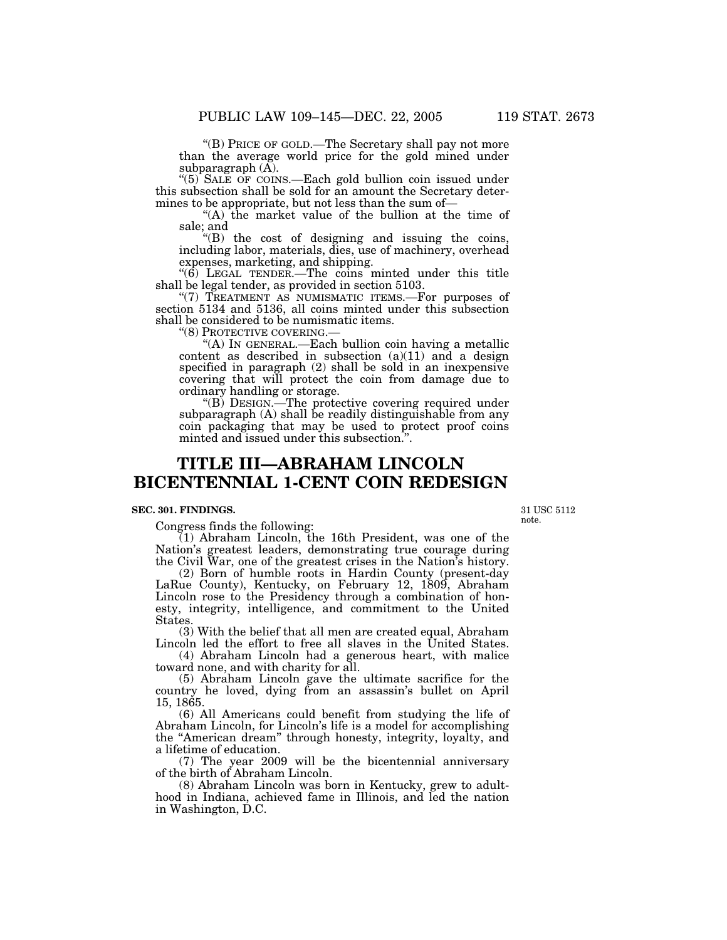''(B) PRICE OF GOLD.—The Secretary shall pay not more than the average world price for the gold mined under subparagraph  $(\overline{A})$ .

''(5) SALE OF COINS.—Each gold bullion coin issued under this subsection shall be sold for an amount the Secretary determines to be appropriate, but not less than the sum of—

''(A) the market value of the bullion at the time of sale; and

''(B) the cost of designing and issuing the coins, including labor, materials, dies, use of machinery, overhead expenses, marketing, and shipping.

"(6) LEGAL TENDER.—The coins minted under this title shall be legal tender, as provided in section 5103.

"(7) TREATMENT AS NUMISMATIC ITEMS.—For purposes of section 5134 and 5136, all coins minted under this subsection shall be considered to be numismatic items.<br>"(8) PROTECTIVE COVERING.—

''(8) PROTECTIVE COVERING.— ''(A) IN GENERAL.—Each bullion coin having a metallic content as described in subsection  $(a)(11)$  and a design specified in paragraph (2) shall be sold in an inexpensive covering that will protect the coin from damage due to ordinary handling or storage.

"(B) DESIGN.—The protective covering required under subparagraph (A) shall be readily distinguishable from any coin packaging that may be used to protect proof coins minted and issued under this subsection.'

# **TITLE III—ABRAHAM LINCOLN BICENTENNIAL 1-CENT COIN REDESIGN**

#### **SEC. 301. FINDINGS.**

Congress finds the following:

(1) Abraham Lincoln, the 16th President, was one of the Nation's greatest leaders, demonstrating true courage during the Civil War, one of the greatest crises in the Nation's history.

(2) Born of humble roots in Hardin County (present-day LaRue County), Kentucky, on February 12, 1809, Abraham Lincoln rose to the Presidency through a combination of honesty, integrity, intelligence, and commitment to the United States.

(3) With the belief that all men are created equal, Abraham Lincoln led the effort to free all slaves in the United States.

(4) Abraham Lincoln had a generous heart, with malice toward none, and with charity for all.

(5) Abraham Lincoln gave the ultimate sacrifice for the country he loved, dying from an assassin's bullet on April 15, 1865.

(6) All Americans could benefit from studying the life of Abraham Lincoln, for Lincoln's life is a model for accomplishing the ''American dream'' through honesty, integrity, loyalty, and a lifetime of education.

(7) The year 2009 will be the bicentennial anniversary of the birth of Abraham Lincoln.

(8) Abraham Lincoln was born in Kentucky, grew to adulthood in Indiana, achieved fame in Illinois, and led the nation in Washington, D.C.

31 USC 5112 note.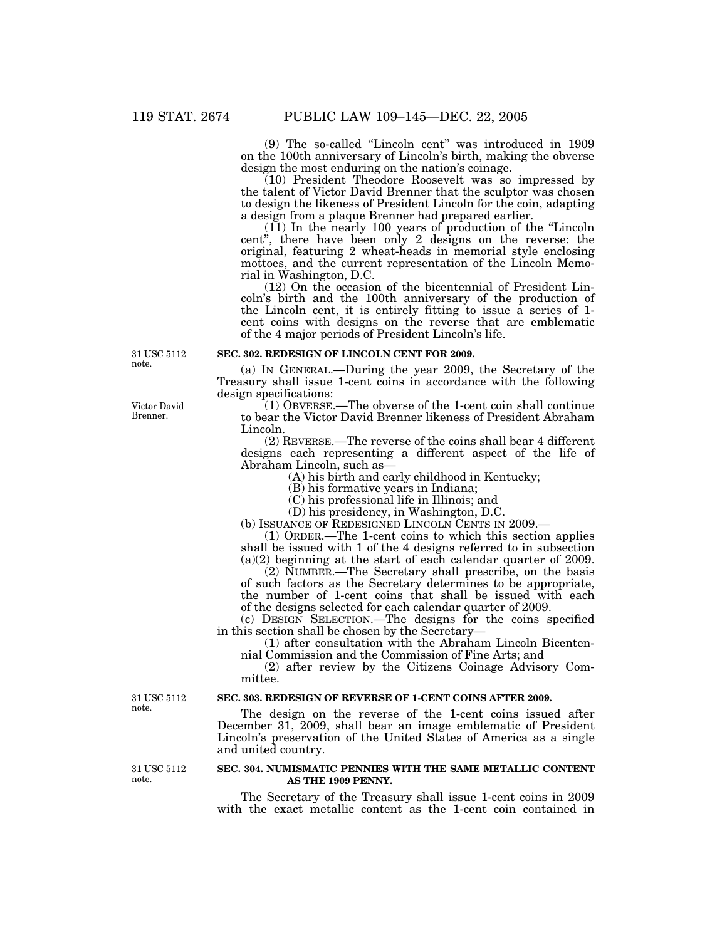(9) The so-called ''Lincoln cent'' was introduced in 1909 on the 100th anniversary of Lincoln's birth, making the obverse design the most enduring on the nation's coinage.

(10) President Theodore Roosevelt was so impressed by the talent of Victor David Brenner that the sculptor was chosen to design the likeness of President Lincoln for the coin, adapting a design from a plaque Brenner had prepared earlier.

(11) In the nearly 100 years of production of the ''Lincoln cent'', there have been only 2 designs on the reverse: the original, featuring 2 wheat-heads in memorial style enclosing mottoes, and the current representation of the Lincoln Memorial in Washington, D.C.

(12) On the occasion of the bicentennial of President Lincoln's birth and the 100th anniversary of the production of the Lincoln cent, it is entirely fitting to issue a series of 1 cent coins with designs on the reverse that are emblematic of the 4 major periods of President Lincoln's life.

31 USC 5112 note.

#### **SEC. 302. REDESIGN OF LINCOLN CENT FOR 2009.**

(a) IN GENERAL.—During the year 2009, the Secretary of the Treasury shall issue 1-cent coins in accordance with the following design specifications:

(1) OBVERSE.—The obverse of the 1-cent coin shall continue to bear the Victor David Brenner likeness of President Abraham Lincoln.

(2) REVERSE.—The reverse of the coins shall bear 4 different designs each representing a different aspect of the life of Abraham Lincoln, such as—

(A) his birth and early childhood in Kentucky;

(B) his formative years in Indiana;

(C) his professional life in Illinois; and

(D) his presidency, in Washington, D.C.

(b) ISSUANCE OF REDESIGNED LINCOLN CENTS IN 2009.—

(1) ORDER.—The 1-cent coins to which this section applies shall be issued with 1 of the 4 designs referred to in subsection (a)(2) beginning at the start of each calendar quarter of 2009.

(2) NUMBER.—The Secretary shall prescribe, on the basis of such factors as the Secretary determines to be appropriate, the number of 1-cent coins that shall be issued with each of the designs selected for each calendar quarter of 2009.

(c) DESIGN SELECTION.—The designs for the coins specified in this section shall be chosen by the Secretary—

(1) after consultation with the Abraham Lincoln Bicentennial Commission and the Commission of Fine Arts; and

(2) after review by the Citizens Coinage Advisory Committee.

# **SEC. 303. REDESIGN OF REVERSE OF 1-CENT COINS AFTER 2009.**

The design on the reverse of the 1-cent coins issued after December 31, 2009, shall bear an image emblematic of President Lincoln's preservation of the United States of America as a single and united country.

31 USC 5112 note.

### **SEC. 304. NUMISMATIC PENNIES WITH THE SAME METALLIC CONTENT AS THE 1909 PENNY.**

The Secretary of the Treasury shall issue 1-cent coins in 2009 with the exact metallic content as the 1-cent coin contained in

31 USC 5112 note.

Victor David Brenner.